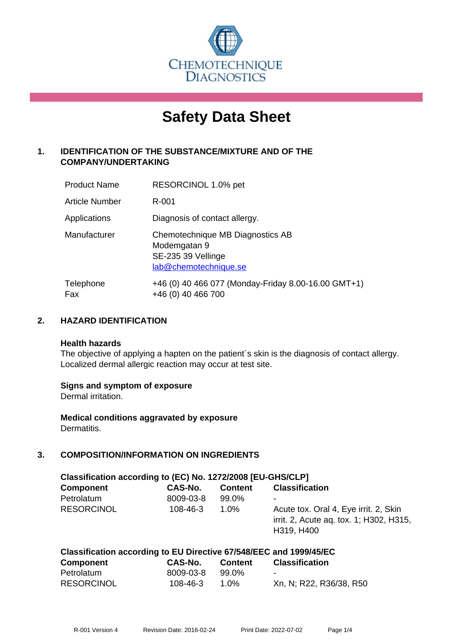

# **Safety Data Sheet**

# **1. IDENTIFICATION OF THE SUBSTANCE/MIXTURE AND OF THE COMPANY/UNDERTAKING**

| <b>Product Name</b>   | RESORCINOL 1.0% pet                                                                             |
|-----------------------|-------------------------------------------------------------------------------------------------|
| <b>Article Number</b> | R-001                                                                                           |
| Applications          | Diagnosis of contact allergy.                                                                   |
| Manufacturer          | Chemotechnique MB Diagnostics AB<br>Modemgatan 9<br>SE-235 39 Vellinge<br>lab@chemotechnique.se |
| Telephone<br>Fax      | +46 (0) 40 466 077 (Monday-Friday 8.00-16.00 GMT+1)<br>+46 (0) 40 466 700                       |

## **2. HAZARD IDENTIFICATION**

#### **Health hazards**

The objective of applying a hapten on the patient's skin is the diagnosis of contact allergy. Localized dermal allergic reaction may occur at test site.

## **Signs and symptom of exposure**

Dermal irritation.

**Medical conditions aggravated by exposure** Dermatitis.

# **3. COMPOSITION/INFORMATION ON INGREDIENTS**

| Classification according to (EC) No. 1272/2008 [EU-GHS/CLP] |                |                |                                                                                                |  |
|-------------------------------------------------------------|----------------|----------------|------------------------------------------------------------------------------------------------|--|
| <b>Component</b>                                            | CAS-No.        | <b>Content</b> | <b>Classification</b>                                                                          |  |
| Petrolatum                                                  | 8009-03-8      | 99.0%          | -                                                                                              |  |
| <b>RESORCINOL</b>                                           | $108 - 46 - 3$ | $1.0\%$        | Acute tox. Oral 4, Eye irrit. 2, Skin<br>irrit. 2, Acute ag. tox. 1; H302, H315,<br>H319, H400 |  |

| Classification according to EU Directive 67/548/EEC and 1999/45/EC |           |                |                          |  |  |
|--------------------------------------------------------------------|-----------|----------------|--------------------------|--|--|
| <b>Component</b>                                                   | CAS-No.   | <b>Content</b> | <b>Classification</b>    |  |  |
| Petrolatum                                                         | 8009-03-8 | 99.0%          | $\overline{\phantom{a}}$ |  |  |
| <b>RESORCINOL</b>                                                  | 108-46-3  | 1 በ%           | Xn, N; R22, R36/38, R50  |  |  |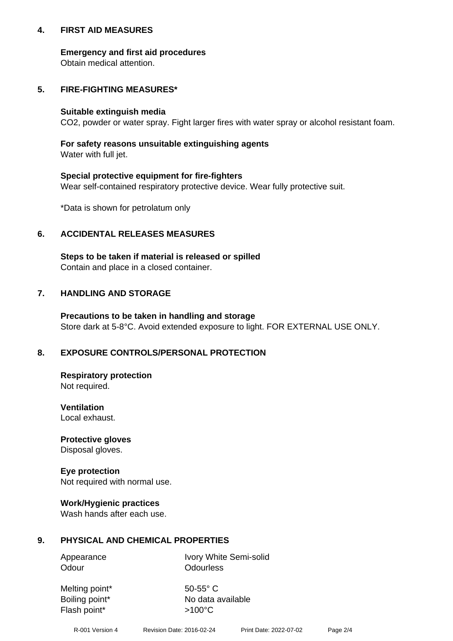## **4. FIRST AID MEASURES**

## **Emergency and first aid procedures**

Obtain medical attention.

# **5. FIRE-FIGHTING MEASURES\***

#### **Suitable extinguish media**

CO2, powder or water spray. Fight larger fires with water spray or alcohol resistant foam.

# **For safety reasons unsuitable extinguishing agents**

Water with full jet.

## **Special protective equipment for fire-fighters**

Wear self-contained respiratory protective device. Wear fully protective suit.

\*Data is shown for petrolatum only

## **6. ACCIDENTAL RELEASES MEASURES**

**Steps to be taken if material is released or spilled** Contain and place in a closed container.

# **7. HANDLING AND STORAGE**

**Precautions to be taken in handling and storage** Store dark at 5-8°C. Avoid extended exposure to light. FOR EXTERNAL USE ONLY.

# **8. EXPOSURE CONTROLS/PERSONAL PROTECTION**

**Respiratory protection** Not required.

**Ventilation** Local exhaust.

**Protective gloves** Disposal gloves.

#### **Eye protection** Not required with normal use.

## **Work/Hygienic practices**

Wash hands after each use.

## **9. PHYSICAL AND CHEMICAL PROPERTIES**

Odour **Odourless** 

Appearance Ivory White Semi-solid

Melting point\* 50-55° C Flash point\*  $>100^{\circ}$ C

Boiling point\* No data available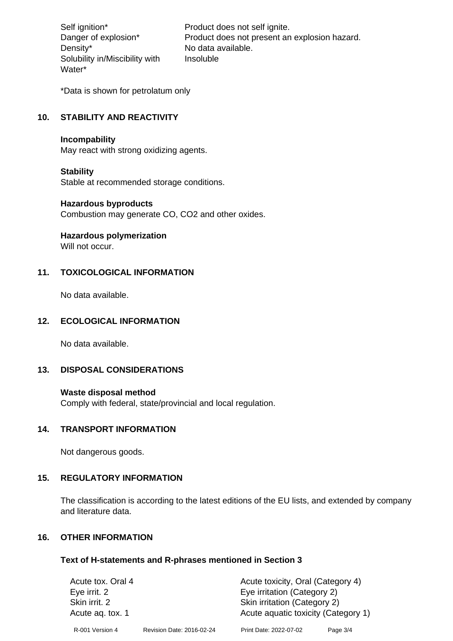Density\* No data available. Solubility in/Miscibility with Water\*

Self ignition\* Product does not self ignite. Danger of explosion\* Product does not present an explosion hazard. Insoluble

\*Data is shown for petrolatum only

# **10. STABILITY AND REACTIVITY**

#### **Incompability**

May react with strong oxidizing agents.

#### **Stability**

Stable at recommended storage conditions.

#### **Hazardous byproducts**

Combustion may generate CO, CO2 and other oxides.

**Hazardous polymerization**

Will not occur.

## **11. TOXICOLOGICAL INFORMATION**

No data available.

## **12. ECOLOGICAL INFORMATION**

No data available.

## **13. DISPOSAL CONSIDERATIONS**

#### **Waste disposal method**

Comply with federal, state/provincial and local regulation.

#### **14. TRANSPORT INFORMATION**

Not dangerous goods.

## **15. REGULATORY INFORMATION**

The classification is according to the latest editions of the EU lists, and extended by company and literature data.

#### **16. OTHER INFORMATION**

#### **Text of H-statements and R-phrases mentioned in Section 3**

| Acute tox. Oral 4 |                           | Acute toxicity, Oral (Category 4)   |                             |  |
|-------------------|---------------------------|-------------------------------------|-----------------------------|--|
| Eye irrit. 2      |                           |                                     | Eye irritation (Category 2) |  |
| Skin irrit. 2     |                           | Skin irritation (Category 2)        |                             |  |
| Acute ag. tox. 1  |                           | Acute aquatic toxicity (Category 1) |                             |  |
| R-001 Version 4   | Revision Date: 2016-02-24 | Print Date: 2022-07-02              | Page 3/4                    |  |